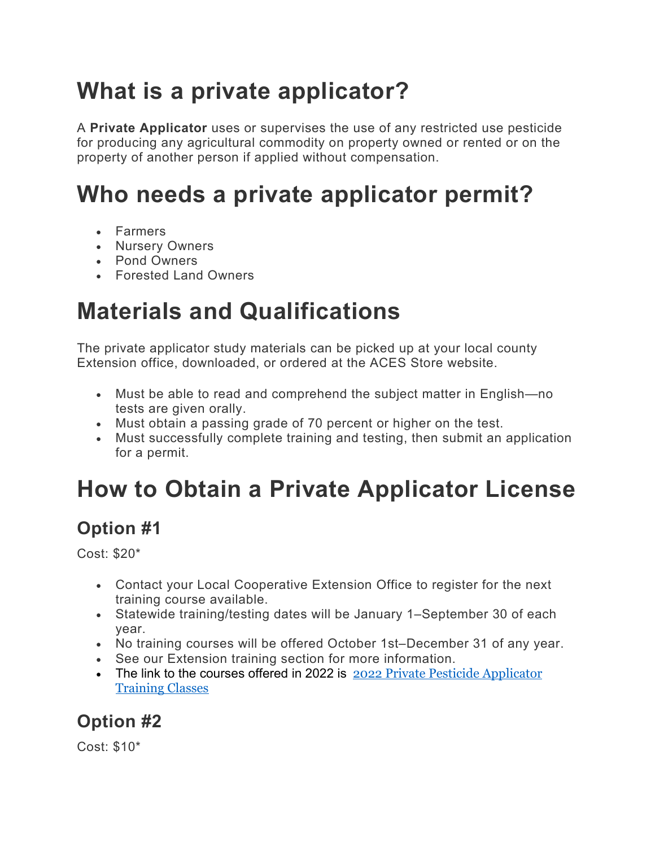## **What is a private applicator?**

A **Private Applicator** uses or supervises the use of any restricted use pesticide for producing any agricultural commodity on property owned or rented or on the property of another person if applied without compensation.

# **Who needs a private applicator permit?**

- Farmers
- Nursery Owners
- Pond Owners
- Forested Land Owners

### **Materials and Qualifications**

The private applicator study materials can be picked up at your local county Extension office, downloaded, or ordered at the ACES Store website.

- Must be able to read and comprehend the subject matter in English—no tests are given orally.
- Must obtain a passing grade of 70 percent or higher on the test.
- Must successfully complete training and testing, then submit an application for a permit.

# **How to Obtain a Private Applicator License**

#### **Option #1**

Cost: \$20\*

- Contact your Local Cooperative Extension Office to register for the next training course available.
- Statewide training/testing dates will be January 1–September 30 of each year.
- No training courses will be offered October 1st–December 31 of any year.
- See our Extension training section for more information.
- The link to the courses offered in 2022 is 2022 Private Pesticide Applicator [Training Classes](https://www.aces.edu/blog/topics/farming/2022-private-pesticide-applicator-training-classes/)

### **Option #2**

Cost: \$10\*